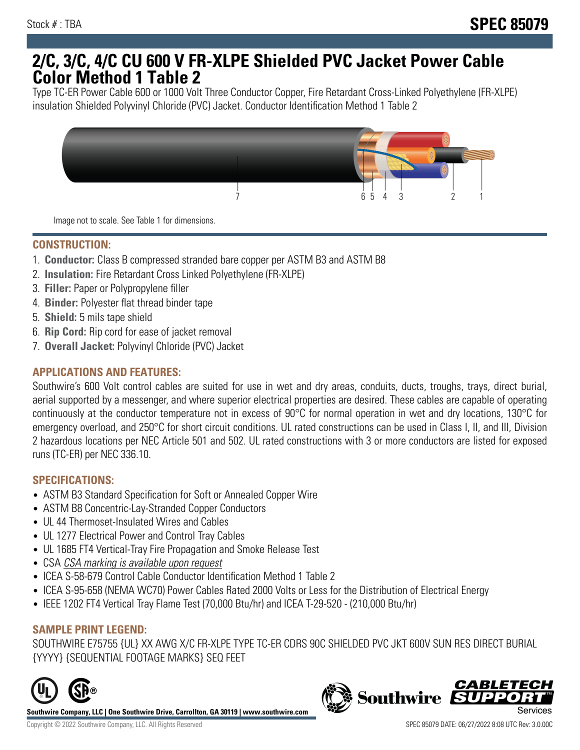# **2/C, 3/C, 4/C CU 600 V FR-XLPE Shielded PVC Jacket Power Cable Color Method 1 Table 2**

Type TC-ER Power Cable 600 or 1000 Volt Three Conductor Copper, Fire Retardant Cross-Linked Polyethylene (FR-XLPE) insulation Shielded Polyvinyl Chloride (PVC) Jacket. Conductor Identification Method 1 Table 2



Image not to scale. See Table 1 for dimensions.

### **CONSTRUCTION:**

- 1. **Conductor:** Class B compressed stranded bare copper per ASTM B3 and ASTM B8
- 2. **Insulation:** Fire Retardant Cross Linked Polyethylene (FR-XLPE)
- 3. **Filler:** Paper or Polypropylene filler
- 4. **Binder:** Polyester flat thread binder tape
- 5. **Shield:** 5 mils tape shield
- 6. **Rip Cord:** Rip cord for ease of jacket removal
- 7. **Overall Jacket:** Polyvinyl Chloride (PVC) Jacket

### **APPLICATIONS AND FEATURES:**

Southwire's 600 Volt control cables are suited for use in wet and dry areas, conduits, ducts, troughs, trays, direct burial, aerial supported by a messenger, and where superior electrical properties are desired. These cables are capable of operating continuously at the conductor temperature not in excess of 90°C for normal operation in wet and dry locations, 130°C for emergency overload, and 250°C for short circuit conditions. UL rated constructions can be used in Class I, II, and III, Division 2 hazardous locations per NEC Article 501 and 502. UL rated constructions with 3 or more conductors are listed for exposed runs (TC-ER) per NEC 336.10.

## **SPECIFICATIONS:**

- ASTM B3 Standard Specification for Soft or Annealed Copper Wire
- ASTM B8 Concentric-Lay-Stranded Copper Conductors
- UL 44 Thermoset-Insulated Wires and Cables
- UL 1277 Electrical Power and Control Tray Cables
- UL 1685 FT4 Vertical-Tray Fire Propagation and Smoke Release Test
- CSA CSA marking is available upon request
- ICEA S-58-679 Control Cable Conductor Identification Method 1 Table 2
- ICEA S-95-658 (NEMA WC70) Power Cables Rated 2000 Volts or Less for the Distribution of Electrical Energy
- IEEE 1202 FT4 Vertical Tray Flame Test (70,000 Btu/hr) and ICEA T-29-520 (210,000 Btu/hr)

#### **SAMPLE PRINT LEGEND:**

SOUTHWIRE E75755 {UL} XX AWG X/C FR-XLPE TYPE TC-ER CDRS 90C SHIELDED PVC JKT 600V SUN RES DIRECT BURIAL {YYYY} {SEQUENTIAL FOOTAGE MARKS} SEQ FEET



**Southwire Company, LLC | One Southwire Drive, Carrollton, GA 30119 | www.southwire.com**